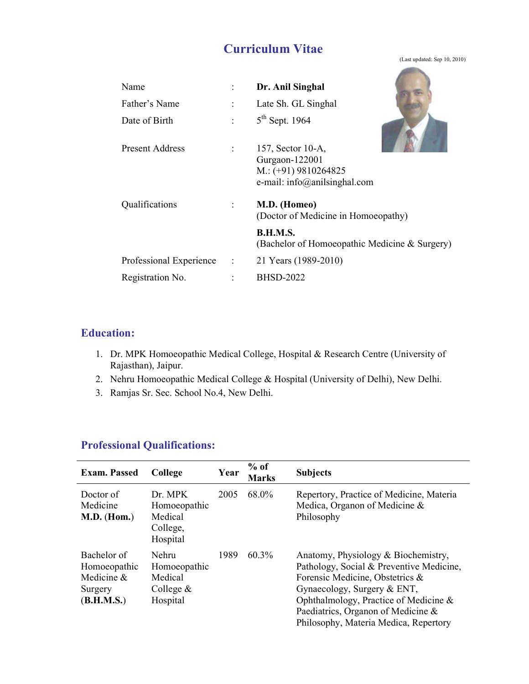# **Curriculum Vitae**

(Last updated: Sep 10, 2010)

| Name                    |   | Dr. Anil Singhal                                                                                              |
|-------------------------|---|---------------------------------------------------------------------------------------------------------------|
| Father's Name           |   | Late Sh. GL Singhal                                                                                           |
| Date of Birth           |   | $5th$ Sept. 1964                                                                                              |
| Present Address         |   | 157, Sector 10-A,<br>Gurgaon-122001<br>$M.: (+91) 9810264825$<br>e-mail: $info(\hat{\omega})$ anilsinghal.com |
| Qualifications          |   | M.D. (Homeo)<br>(Doctor of Medicine in Homoeopathy)                                                           |
|                         |   | <b>B.H.M.S.</b><br>(Bachelor of Homoeopathic Medicine & Surgery)                                              |
| Professional Experience | ÷ | 21 Years (1989-2010)                                                                                          |
| Registration No.        |   | <b>BHSD-2022</b>                                                                                              |

## **Education:**

- 1. Dr. MPK Homoeopathic Medical College, Hospital & Research Centre (University of Rajasthan), Jaipur.
- 2. Nehru Homoeopathic Medical College & Hospital (University of Delhi), New Delhi.
- 3. Ramjas Sr. Sec. School No.4, New Delhi.

| <b>Exam. Passed</b>                                                | College                                                      | Year | $%$ of<br><b>Marks</b> | <b>Subjects</b>                                                                                                                                                                                                                                                                |
|--------------------------------------------------------------------|--------------------------------------------------------------|------|------------------------|--------------------------------------------------------------------------------------------------------------------------------------------------------------------------------------------------------------------------------------------------------------------------------|
| Doctor of<br>Medicine<br>$M.D.$ (Hom.)                             | Dr. MPK<br>Homoeopathic<br>Medical<br>College,<br>Hospital   | 2005 | 68.0%                  | Repertory, Practice of Medicine, Materia<br>Medica, Organon of Medicine &<br>Philosophy                                                                                                                                                                                        |
| Bachelor of<br>Homoeopathic<br>Medicine &<br>Surgery<br>(B.H.M.S.) | Nehru<br>Homoeopathic<br>Medical<br>College $\&$<br>Hospital | 1989 | 60.3%                  | Anatomy, Physiology & Biochemistry,<br>Pathology, Social & Preventive Medicine,<br>Forensic Medicine, Obstetrics &<br>Gynaecology, Surgery $&ENT$ ,<br>Ophthalmology, Practice of Medicine $\&$<br>Paediatrics, Organon of Medicine &<br>Philosophy, Materia Medica, Repertory |

## **Professional Qualifications:**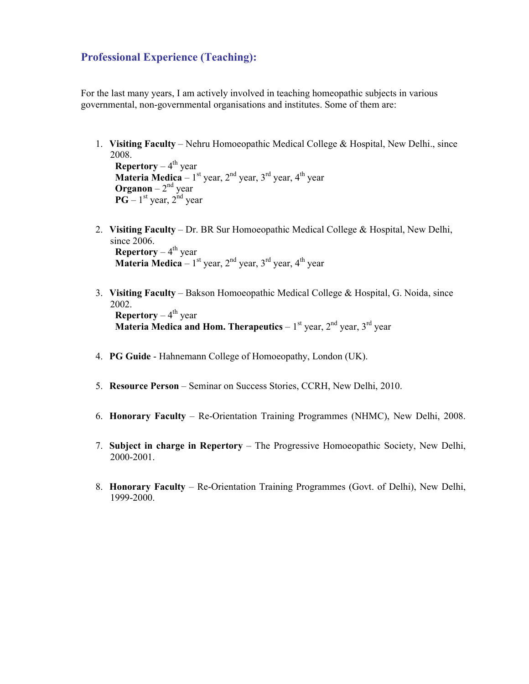## **Professional Experience (Teaching):**

For the last many years, I am actively involved in teaching homeopathic subjects in various governmental, non-governmental organisations and institutes. Some of them are:

1. **Visiting Faculty** – Nehru Homoeopathic Medical College & Hospital, New Delhi., since 2008. **Repertory** –  $4^{\text{th}}$  year

**Materia Medica** –  $1^{\text{st}}$  year,  $2^{\text{nd}}$  year,  $3^{\text{rd}}$  year,  $4^{\text{th}}$  year **Organon** – 2nd year  $PG-1^{st}$  year,  $2^{nd}$  year

- 2. **Visiting Faculty** Dr. BR Sur Homoeopathic Medical College & Hospital, New Delhi, since 2006. **Repertory** –  $4^{\text{th}}$  year **Materia Medica** –  $1<sup>st</sup>$  year,  $2<sup>nd</sup>$  year,  $3<sup>rd</sup>$  year,  $4<sup>th</sup>$  year
- 3. **Visiting Faculty** Bakson Homoeopathic Medical College & Hospital, G. Noida, since 2002. **Repertory** –  $4^{\text{th}}$  year **Materia Medica and Hom. Therapeutics** –  $1<sup>st</sup>$  year,  $2<sup>nd</sup>$  year,  $3<sup>rd</sup>$  year
- 4. **PG Guide** Hahnemann College of Homoeopathy, London (UK).
- 5. **Resource Person**  Seminar on Success Stories, CCRH, New Delhi, 2010.
- 6. **Honorary Faculty** Re-Orientation Training Programmes (NHMC), New Delhi, 2008.
- 7. **Subject in charge in Repertory** The Progressive Homoeopathic Society, New Delhi, 2000-2001.
- 8. **Honorary Faculty** Re-Orientation Training Programmes (Govt. of Delhi), New Delhi, 1999-2000.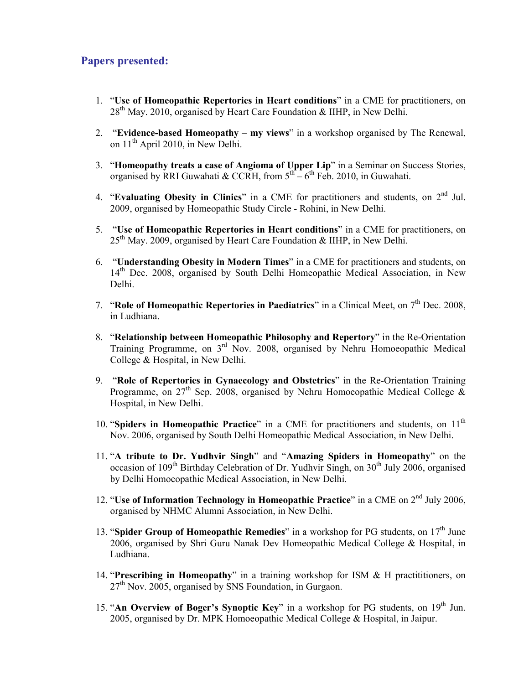## **Papers presented:**

- 1. "**Use of Homeopathic Repertories in Heart conditions**" in a CME for practitioners, on  $28<sup>th</sup>$  May. 2010, organised by Heart Care Foundation & IIHP, in New Delhi.
- 2. "**Evidence-based Homeopathy my views**" in a workshop organised by The Renewal, on 11<sup>th</sup> April 2010, in New Delhi.
- 3. "**Homeopathy treats a case of Angioma of Upper Lip**" in a Seminar on Success Stories, organised by RRI Guwahati & CCRH, from  $5<sup>th</sup> - 6<sup>th</sup>$  Feb. 2010, in Guwahati.
- 4. "**Evaluating Obesity in Clinics**" in a CME for practitioners and students, on 2<sup>nd</sup> Jul. 2009, organised by Homeopathic Study Circle - Rohini, in New Delhi.
- 5. "**Use of Homeopathic Repertories in Heart conditions**" in a CME for practitioners, on  $25<sup>th</sup>$  May. 2009, organised by Heart Care Foundation & IIHP, in New Delhi.
- 6. "**Understanding Obesity in Modern Times**" in a CME for practitioners and students, on 14<sup>th</sup> Dec. 2008, organised by South Delhi Homeopathic Medical Association, in New Delhi.
- 7. "Role of Homeopathic Repertories in Paediatrics" in a Clinical Meet, on 7<sup>th</sup> Dec. 2008, in Ludhiana.
- 8. "**Relationship between Homeopathic Philosophy and Repertory**" in the Re-Orientation Training Programme, on 3rd Nov. 2008, organised by Nehru Homoeopathic Medical College & Hospital, in New Delhi.
- 9. "**Role of Repertories in Gynaecology and Obstetrics**" in the Re-Orientation Training Programme, on  $27<sup>th</sup>$  Sep. 2008, organised by Nehru Homoeopathic Medical College  $\&$ Hospital, in New Delhi.
- 10. "**Spiders in Homeopathic Practice**" in a CME for practitioners and students, on  $11<sup>th</sup>$ Nov. 2006, organised by South Delhi Homeopathic Medical Association, in New Delhi.
- 11. "**A tribute to Dr. Yudhvir Singh**" and "**Amazing Spiders in Homeopathy**" on the occasion of  $109<sup>th</sup>$  Birthday Celebration of Dr. Yudhvir Singh, on  $30<sup>th</sup>$  July 2006, organised by Delhi Homoeopathic Medical Association, in New Delhi.
- 12. "**Use of Information Technology in Homeopathic Practice**" in a CME on 2nd July 2006, organised by NHMC Alumni Association, in New Delhi.
- 13. "**Spider Group of Homeopathic Remedies**" in a workshop for PG students, on 17<sup>th</sup> June 2006, organised by Shri Guru Nanak Dev Homeopathic Medical College & Hospital, in Ludhiana.
- 14. "**Prescribing in Homeopathy**" in a training workshop for ISM & H practititioners, on  $27<sup>th</sup>$  Nov. 2005, organised by SNS Foundation, in Gurgaon.
- 15. "An Overview of Boger's Synoptic Key" in a workshop for PG students, on 19<sup>th</sup> Jun. 2005, organised by Dr. MPK Homoeopathic Medical College & Hospital, in Jaipur.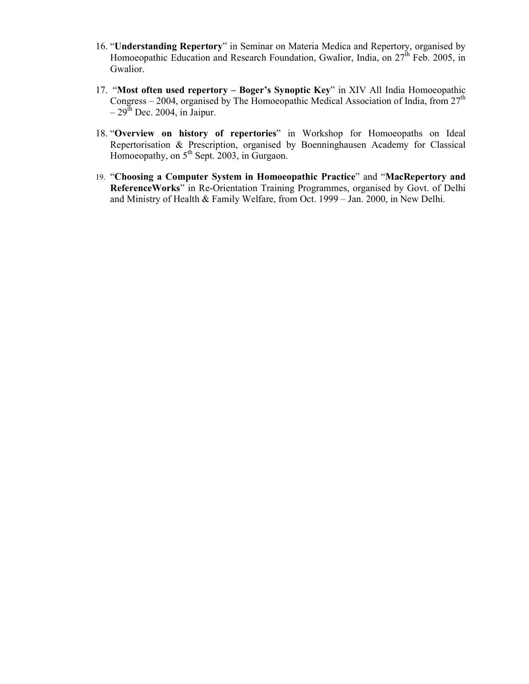- 16. "**Understanding Repertory**" in Seminar on Materia Medica and Repertory, organised by Homoeopathic Education and Research Foundation, Gwalior, India, on 27<sup>th</sup> Feb. 2005, in Gwalior.
- 17. "**Most often used repertory Boger's Synoptic Key**" in XIV All India Homoeopathic Congress – 2004, organised by The Homoeopathic Medical Association of India, from  $27<sup>th</sup>$  $-29^{th}$  Dec. 2004, in Jaipur.
- 18. "**Overview on history of repertories**" in Workshop for Homoeopaths on Ideal Repertorisation & Prescription, organised by Boenninghausen Academy for Classical Homoeopathy, on  $5<sup>th</sup>$  Sept. 2003, in Gurgaon.
- 19. "**Choosing a Computer System in Homoeopathic Practice**" and "**MacRepertory and ReferenceWorks**" in Re-Orientation Training Programmes, organised by Govt. of Delhi and Ministry of Health & Family Welfare, from Oct. 1999 – Jan. 2000, in New Delhi.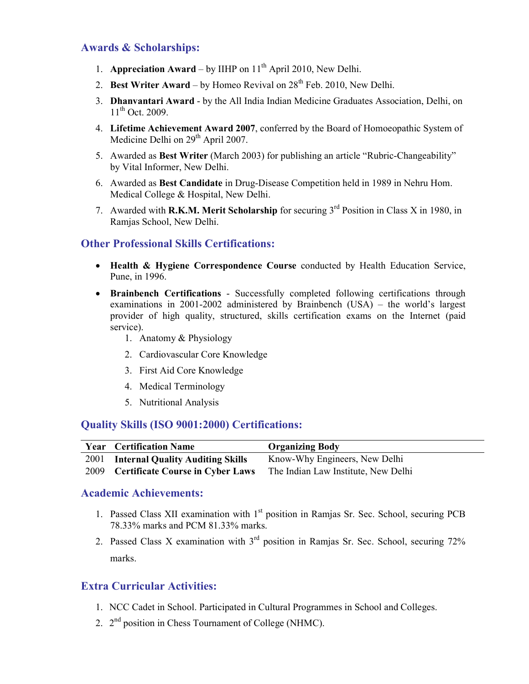## **Awards & Scholarships:**

- 1. **Appreciation Award** by IIHP on  $11<sup>th</sup>$  April 2010, New Delhi.
- 2. **Best Writer Award** by Homeo Revival on 28<sup>th</sup> Feb. 2010, New Delhi.
- 3. **Dhanvantari Award** by the All India Indian Medicine Graduates Association, Delhi, on  $11^{th}$  Oct. 2009.
- 4. **Lifetime Achievement Award 2007**, conferred by the Board of Homoeopathic System of Medicine Delhi on 29<sup>th</sup> April 2007.
- 5. Awarded as **Best Writer** (March 2003) for publishing an article "Rubric-Changeability" by Vital Informer, New Delhi.
- 6. Awarded as **Best Candidate** in Drug-Disease Competition held in 1989 in Nehru Hom. Medical College & Hospital, New Delhi.
- 7. Awarded with **R.K.M. Merit Scholarship** for securing 3rd Position in Class X in 1980, in Ramjas School, New Delhi.

## **Other Professional Skills Certifications:**

- **Health & Hygiene Correspondence Course** conducted by Health Education Service, Pune, in 1996.
- **Brainbench Certifications** Successfully completed following certifications through examinations in 2001-2002 administered by Brainbench (USA) – the world's largest provider of high quality, structured, skills certification exams on the Internet (paid service).
	- 1. Anatomy & Physiology
	- 2. Cardiovascular Core Knowledge
	- 3. First Aid Core Knowledge
	- 4. Medical Terminology
	- 5. Nutritional Analysis

#### **Quality Skills (ISO 9001:2000) Certifications:**

| <b>Year</b> Certification Name        | <b>Organizing Body</b>              |
|---------------------------------------|-------------------------------------|
| 2001 Internal Quality Auditing Skills | Know-Why Engineers, New Delhi       |
| 2009 Certificate Course in Cyber Laws | The Indian Law Institute, New Delhi |

#### **Academic Achievements:**

- 1. Passed Class XII examination with  $1<sup>st</sup>$  position in Ramjas Sr. Sec. School, securing PCB 78.33% marks and PCM 81.33% marks.
- 2. Passed Class X examination with 3rd position in Ramjas Sr. Sec. School, securing 72% marks.

## **Extra Curricular Activities:**

- 1. NCC Cadet in School. Participated in Cultural Programmes in School and Colleges.
- 2. 2<sup>nd</sup> position in Chess Tournament of College (NHMC).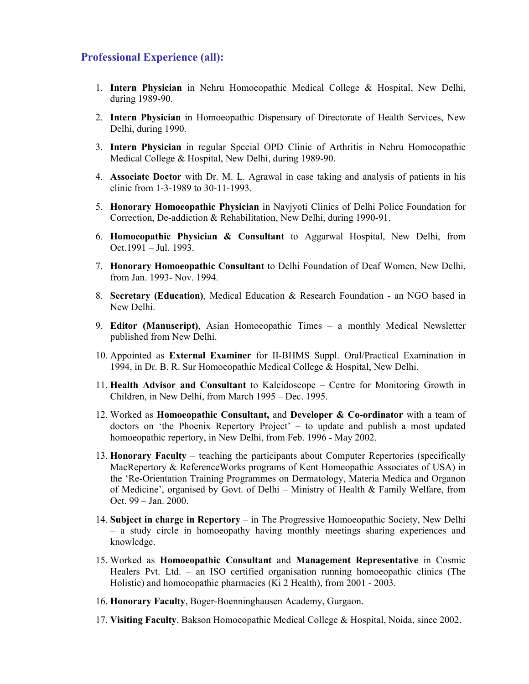#### **Professional Experience (all):**

- 1. **Intern Physician** in Nehru Homoeopathic Medical College & Hospital, New Delhi, during 1989-90.
- 2. **Intern Physician** in Homoeopathic Dispensary of Directorate of Health Services, New Delhi, during 1990.
- 3. **Intern Physician** in regular Special OPD Clinic of Arthritis in Nehru Homoeopathic Medical College & Hospital, New Delhi, during 1989-90.
- 4. **Associate Doctor** with Dr. M. L. Agrawal in case taking and analysis of patients in his clinic from 1-3-1989 to 30-11-1993.
- 5. **Honorary Homoeopathic Physician** in Navjyoti Clinics of Delhi Police Foundation for Correction, De-addiction & Rehabilitation, New Delhi, during 1990-91.
- 6. **Homoeopathic Physician & Consultant** to Aggarwal Hospital, New Delhi, from Oct.1991 – Jul. 1993.
- 7. **Honorary Homoeopathic Consultant** to Delhi Foundation of Deaf Women, New Delhi, from Jan. 1993- Nov. 1994.
- 8. **Secretary (Education)**, Medical Education & Research Foundation an NGO based in New Delhi.
- 9. **Editor (Manuscript)**, Asian Homoeopathic Times a monthly Medical Newsletter published from New Delhi.
- 10. Appointed as **External Examiner** for II-BHMS Suppl. Oral/Practical Examination in 1994, in Dr. B. R. Sur Homoeopathic Medical College & Hospital, New Delhi.
- 11. **Health Advisor and Consultant** to Kaleidoscope Centre for Monitoring Growth in Children, in New Delhi, from March 1995 – Dec. 1995.
- 12. Worked as **Homoeopathic Consultant,** and **Developer & Co-ordinator** with a team of doctors on 'the Phoenix Repertory Project' – to update and publish a most updated homoeopathic repertory, in New Delhi, from Feb. 1996 - May 2002.
- 13. **Honorary Faculty** teaching the participants about Computer Repertories (specifically MacRepertory & ReferenceWorks programs of Kent Homeopathic Associates of USA) in the 'Re-Orientation Training Programmes on Dermatology, Materia Medica and Organon of Medicine', organised by Govt. of Delhi – Ministry of Health & Family Welfare, from Oct. 99 – Jan. 2000.
- 14. **Subject in charge in Repertory** in The Progressive Homoeopathic Society, New Delhi – a study circle in homoeopathy having monthly meetings sharing experiences and knowledge.
- 15. Worked as **Homoeopathic Consultant** and **Management Representative** in Cosmic Healers Pvt. Ltd. – an ISO certified organisation running homoeopathic clinics (The Holistic) and homoeopathic pharmacies (Ki 2 Health), from 2001 - 2003.
- 16. **Honorary Faculty**, Boger-Boenninghausen Academy, Gurgaon.
- 17. **Visiting Faculty**, Bakson Homoeopathic Medical College & Hospital, Noida, since 2002.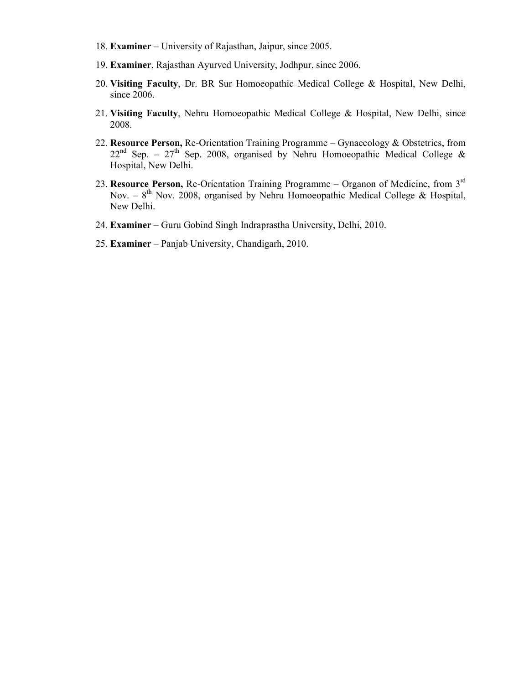- 18. **Examiner** University of Rajasthan, Jaipur, since 2005.
- 19. **Examiner**, Rajasthan Ayurved University, Jodhpur, since 2006.
- 20. **Visiting Faculty**, Dr. BR Sur Homoeopathic Medical College & Hospital, New Delhi, since 2006.
- 21. **Visiting Faculty**, Nehru Homoeopathic Medical College & Hospital, New Delhi, since 2008.
- 22. **Resource Person,** Re-Orientation Training Programme Gynaecology & Obstetrics, from  $22<sup>nd</sup>$  Sep. –  $27<sup>th</sup>$  Sep. 2008, organised by Nehru Homoeopathic Medical College & Hospital, New Delhi.
- 23. **Resource Person,** Re-Orientation Training Programme Organon of Medicine, from 3rd Nov. –  $8<sup>th</sup>$  Nov. 2008, organised by Nehru Homoeopathic Medical College & Hospital, New Delhi.
- 24. **Examiner** Guru Gobind Singh Indraprastha University, Delhi, 2010.
- 25. **Examiner** Panjab University, Chandigarh, 2010.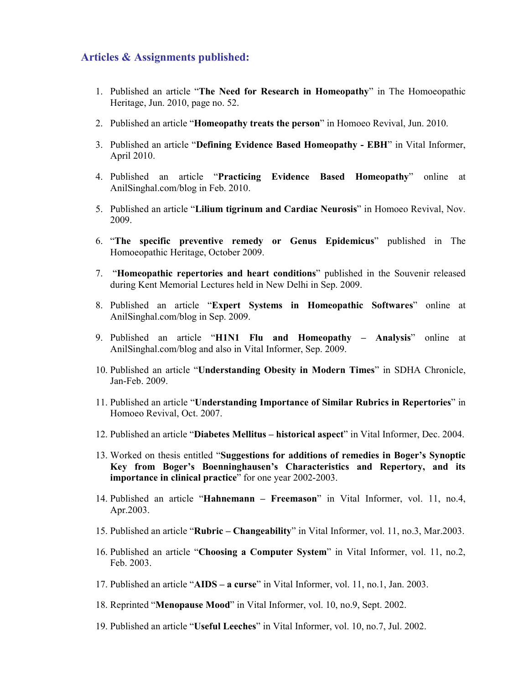#### **Articles & Assignments published:**

- 1. Published an article "**The Need for Research in Homeopathy**" in The Homoeopathic Heritage, Jun. 2010, page no. 52.
- 2. Published an article "**Homeopathy treats the person**" in Homoeo Revival, Jun. 2010.
- 3. Published an article "**Defining Evidence Based Homeopathy EBH**" in Vital Informer, April 2010.
- 4. Published an article "**Practicing Evidence Based Homeopathy**" online at AnilSinghal.com/blog in Feb. 2010.
- 5. Published an article "**Lilium tigrinum and Cardiac Neurosis**" in Homoeo Revival, Nov. 2009.
- 6. "**The specific preventive remedy or Genus Epidemicus**" published in The Homoeopathic Heritage, October 2009.
- 7. "**Homeopathic repertories and heart conditions**" published in the Souvenir released during Kent Memorial Lectures held in New Delhi in Sep. 2009.
- 8. Published an article "**Expert Systems in Homeopathic Softwares**" online at AnilSinghal.com/blog in Sep. 2009.
- 9. Published an article "**H1N1 Flu and Homeopathy Analysis**" online at AnilSinghal.com/blog and also in Vital Informer, Sep. 2009.
- 10. Published an article "**Understanding Obesity in Modern Times**" in SDHA Chronicle, Jan-Feb. 2009.
- 11. Published an article "**Understanding Importance of Similar Rubrics in Repertories**" in Homoeo Revival, Oct. 2007.
- 12. Published an article "**Diabetes Mellitus historical aspect**" in Vital Informer, Dec. 2004.
- 13. Worked on thesis entitled "**Suggestions for additions of remedies in Boger's Synoptic Key from Boger's Boenninghausen's Characteristics and Repertory, and its importance in clinical practice**" for one year 2002-2003.
- 14. Published an article "**Hahnemann Freemason**" in Vital Informer, vol. 11, no.4, Apr.2003.
- 15. Published an article "**Rubric Changeability**" in Vital Informer, vol. 11, no.3, Mar.2003.
- 16. Published an article "**Choosing a Computer System**" in Vital Informer, vol. 11, no.2, Feb. 2003.
- 17. Published an article "**AIDS a curse**" in Vital Informer, vol. 11, no.1, Jan. 2003.
- 18. Reprinted "**Menopause Mood**" in Vital Informer, vol. 10, no.9, Sept. 2002.
- 19. Published an article "**Useful Leeches**" in Vital Informer, vol. 10, no.7, Jul. 2002.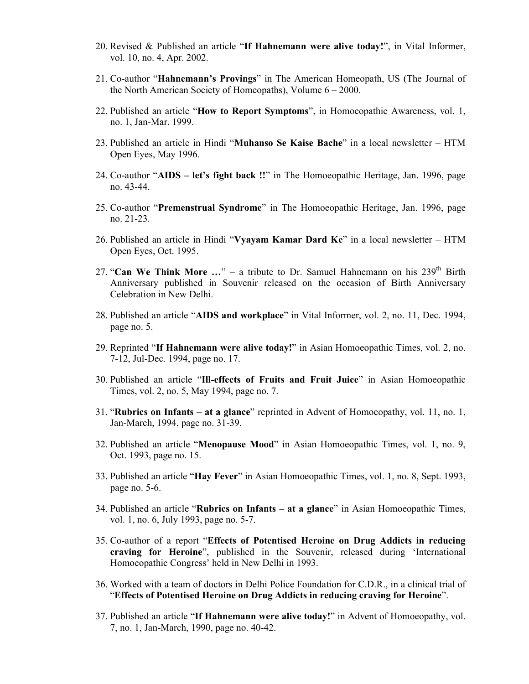- 20. Revised & Published an article "**If Hahnemann were alive today!**", in Vital Informer, vol. 10, no. 4, Apr. 2002.
- 21. Co-author "**Hahnemann's Provings**" in The American Homeopath, US (The Journal of the North American Society of Homeopaths), Volume 6 – 2000.
- 22. Published an article "**How to Report Symptoms**", in Homoeopathic Awareness, vol. 1, no. 1, Jan-Mar. 1999.
- 23. Published an article in Hindi "**Muhanso Se Kaise Bache**" in a local newsletter HTM Open Eyes, May 1996.
- 24. Co-author "**AIDS let's fight back !!**" in The Homoeopathic Heritage, Jan. 1996, page no. 43-44.
- 25. Co-author "**Premenstrual Syndrome**" in The Homoeopathic Heritage, Jan. 1996, page no. 21-23.
- 26. Published an article in Hindi "**Vyayam Kamar Dard Ke**" in a local newsletter HTM Open Eyes, Oct. 1995.
- 27. "**Can We Think More ...**" a tribute to Dr. Samuel Hahnemann on his  $239<sup>th</sup>$  Birth Anniversary published in Souvenir released on the occasion of Birth Anniversary Celebration in New Delhi.
- 28. Published an article "**AIDS and workplace**" in Vital Informer, vol. 2, no. 11, Dec. 1994, page no. 5.
- 29. Reprinted "**If Hahnemann were alive today!**" in Asian Homoeopathic Times, vol. 2, no. 7-12, Jul-Dec. 1994, page no. 17.
- 30. Published an article "**Ill-effects of Fruits and Fruit Juice**" in Asian Homoeopathic Times, vol. 2, no. 5, May 1994, page no. 7.
- 31. "**Rubrics on Infants at a glance**" reprinted in Advent of Homoeopathy, vol. 11, no. 1, Jan-March, 1994, page no. 31-39.
- 32. Published an article "**Menopause Mood**" in Asian Homoeopathic Times, vol. 1, no. 9, Oct. 1993, page no. 15.
- 33. Published an article "**Hay Fever**" in Asian Homoeopathic Times, vol. 1, no. 8, Sept. 1993, page no. 5-6.
- 34. Published an article "**Rubrics on Infants at a glance**" in Asian Homoeopathic Times, vol. 1, no. 6, July 1993, page no. 5-7.
- 35. Co-author of a report "**Effects of Potentised Heroine on Drug Addicts in reducing craving for Heroine**", published in the Souvenir, released during 'International Homoeopathic Congress' held in New Delhi in 1993.
- 36. Worked with a team of doctors in Delhi Police Foundation for C.D.R., in a clinical trial of "**Effects of Potentised Heroine on Drug Addicts in reducing craving for Heroine**".
- 37. Published an article "**If Hahnemann were alive today!**" in Advent of Homoeopathy, vol. 7, no. 1, Jan-March, 1990, page no. 40-42.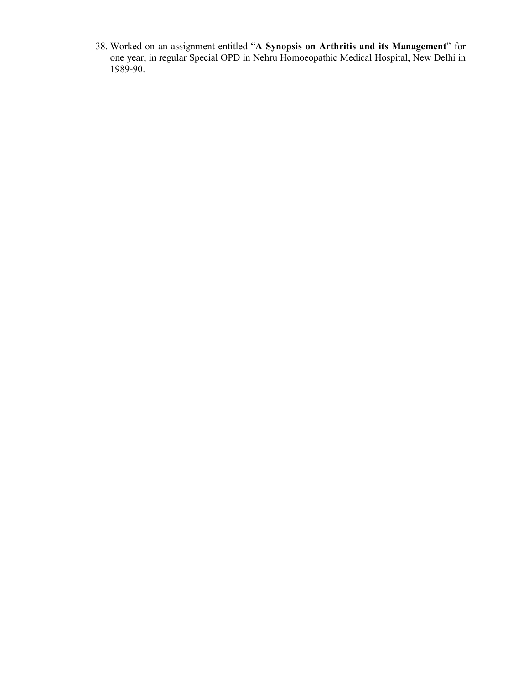38. Worked on an assignment entitled "**A Synopsis on Arthritis and its Management**" for one year, in regular Special OPD in Nehru Homoeopathic Medical Hospital, New Delhi in 1989-90.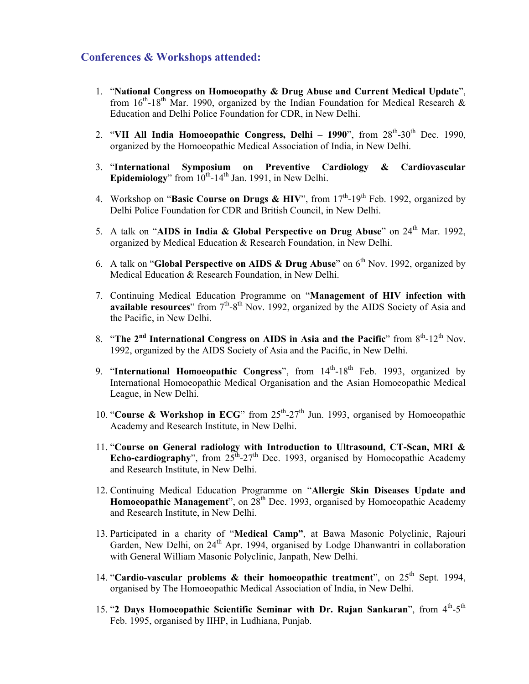## **Conferences & Workshops attended:**

- 1. "**National Congress on Homoeopathy & Drug Abuse and Current Medical Update**", from  $16<sup>th</sup>$ -18<sup>th</sup> Mar. 1990, organized by the Indian Foundation for Medical Research & Education and Delhi Police Foundation for CDR, in New Delhi.
- 2. "**VII All India Homoeopathic Congress, Delhi 1990**", from 28th-30th Dec. 1990, organized by the Homoeopathic Medical Association of India, in New Delhi.
- 3. "**International Symposium on Preventive Cardiology & Cardiovascular Epidemiology**" from  $10^{th}$ -14<sup>th</sup> Jan. 1991, in New Delhi.
- 4. Workshop on "**Basic Course on Drugs & HIV**", from 17<sup>th</sup>-19<sup>th</sup> Feb. 1992, organized by Delhi Police Foundation for CDR and British Council, in New Delhi.
- 5. A talk on "**AIDS in India & Global Perspective on Drug Abuse**" on 24<sup>th</sup> Mar. 1992, organized by Medical Education & Research Foundation, in New Delhi.
- 6. A talk on "**Global Perspective on AIDS & Drug Abuse**" on 6<sup>th</sup> Nov. 1992, organized by Medical Education & Research Foundation, in New Delhi.
- 7. Continuing Medical Education Programme on "**Management of HIV infection with available resources**" from  $7<sup>th</sup> - 8<sup>th</sup>$  Nov. 1992, organized by the AIDS Society of Asia and the Pacific, in New Delhi.
- 8. "The 2<sup>nd</sup> International Congress on AIDS in Asia and the Pacific" from 8<sup>th</sup>-12<sup>th</sup> Nov. 1992, organized by the AIDS Society of Asia and the Pacific, in New Delhi.
- 9. "**International Homoeopathic Congress**", from 14th-18th Feb. 1993, organized by International Homoeopathic Medical Organisation and the Asian Homoeopathic Medical League, in New Delhi.
- 10. "**Course & Workshop in ECG**" from 25<sup>th</sup>-27<sup>th</sup> Jun. 1993, organised by Homoeopathic Academy and Research Institute, in New Delhi.
- 11. "**Course on General radiology with Introduction to Ultrasound, CT-Scan, MRI & Echo-cardiography**", from  $25<sup>th</sup>$ -27<sup>th</sup> Dec. 1993, organised by Homoeopathic Academy and Research Institute, in New Delhi.
- 12. Continuing Medical Education Programme on "**Allergic Skin Diseases Update and**  Homoeopathic Management", on 28<sup>th</sup> Dec. 1993, organised by Homoeopathic Academy and Research Institute, in New Delhi.
- 13. Participated in a charity of "**Medical Camp"**, at Bawa Masonic Polyclinic, Rajouri Garden, New Delhi, on 24<sup>th</sup> Apr. 1994, organised by Lodge Dhanwantri in collaboration with General William Masonic Polyclinic, Janpath, New Delhi.
- 14. "**Cardio-vascular problems & their homoeopathic treatment**", on 25<sup>th</sup> Sept. 1994, organised by The Homoeopathic Medical Association of India, in New Delhi.
- 15. "2 Days Homoeopathic Scientific Seminar with Dr. Rajan Sankaran", from 4<sup>th</sup>-5<sup>th</sup> Feb. 1995, organised by IIHP, in Ludhiana, Punjab.